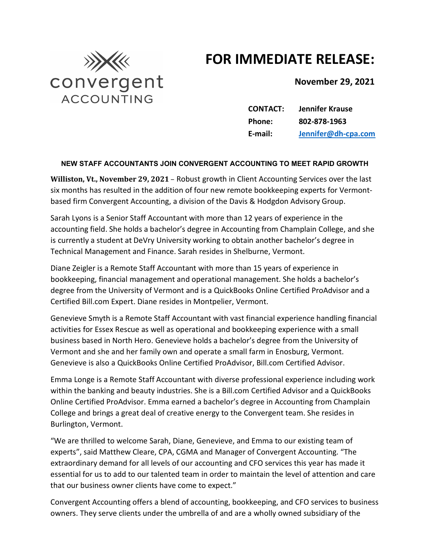## **FOR IMMEDIATE RELEASE:**



**November 29, 2021**

**CONTACT: Jennifer Krause Phone: 802-878-1963 E-mail: [Jennifer@dh-cpa.com](mailto:Jennifer@dh-cpa.com)**

## **NEW STAFF ACCOUNTANTS JOIN CONVERGENT ACCOUNTING TO MEET RAPID GROWTH**

**Williston, Vt., November 29, 2021** – Robust growth in Client Accounting Services over the last six months has resulted in the addition of four new remote bookkeeping experts for Vermontbased firm Convergent Accounting, a division of the Davis & Hodgdon Advisory Group.

Sarah Lyons is a Senior Staff Accountant with more than 12 years of experience in the accounting field. She holds a bachelor's degree in Accounting from Champlain College, and she is currently a student at DeVry University working to obtain another bachelor's degree in Technical Management and Finance. Sarah resides in Shelburne, Vermont.

Diane Zeigler is a Remote Staff Accountant with more than 15 years of experience in bookkeeping, financial management and operational management. She holds a bachelor's degree from the University of Vermont and is a QuickBooks Online Certified ProAdvisor and a Certified Bill.com Expert. Diane resides in Montpelier, Vermont.

Genevieve Smyth is a Remote Staff Accountant with vast financial experience handling financial activities for Essex Rescue as well as operational and bookkeeping experience with a small business based in North Hero. Genevieve holds a bachelor's degree from the University of Vermont and she and her family own and operate a small farm in Enosburg, Vermont. Genevieve is also a QuickBooks Online Certified ProAdvisor, Bill.com Certified Advisor.

Emma Longe is a Remote Staff Accountant with diverse professional experience including work within the banking and beauty industries. She is a Bill.com Certified Advisor and a QuickBooks Online Certified ProAdvisor. Emma earned a bachelor's degree in Accounting from Champlain College and brings a great deal of creative energy to the Convergent team. She resides in Burlington, Vermont.

"We are thrilled to welcome Sarah, Diane, Genevieve, and Emma to our existing team of experts", said Matthew Cleare, CPA, CGMA and Manager of Convergent Accounting. "The extraordinary demand for all levels of our accounting and CFO services this year has made it essential for us to add to our talented team in order to maintain the level of attention and care that our business owner clients have come to expect."

Convergent Accounting offers a blend of accounting, bookkeeping, and CFO services to business owners. They serve clients under the umbrella of and are a wholly owned subsidiary of the